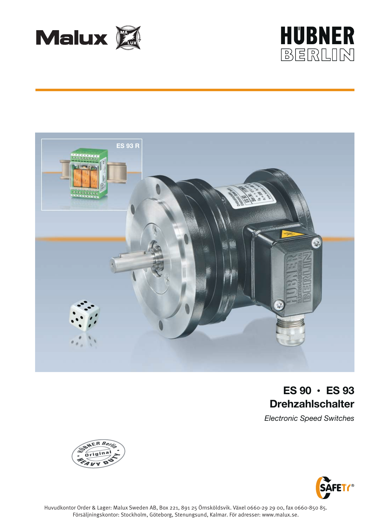





# **ES 90 • ES 93 Drehzahlschalter**

*Electronic Speed Switches*



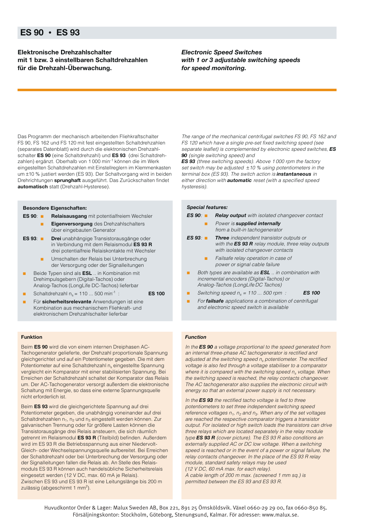### **ES 90 • ES 93**

**Elektronische Drehzahlschalter mit 1 bzw. 3 einstellbaren Schaltdrehzahlen für die Drehzahl-Überwachung.**

*Electronic Speed Switches with 1 or 3 adjustable switching speeds for speed monitoring.*

Das Programm der mechanisch arbeitenden Fliehkraftschalter FS 90, FS 162 und FS 120 mit fest eingestellten Schaltdrehzahlen (separates Datenblatt) wird durch die elektronischen Drehzahlschalter **ES 90** (eine Schaltdrehzahl) und **ES 93** (drei Schaltdrehzahlen) ergänzt. Oberhalb von 1 000 min-1 können die im Werk eingestellten Schaltdrehzahlen mit Einstellreglern im Klemmenkasten um ±10 % justiert werden (ES 93). Der Schaltvorgang wird in beiden Drehrichtungen **sprunghaft** ausgeführt. Das Zurückschalten findet **automatisch** statt (Drehzahl-Hysterese).

#### **Besondere Eigenschaften:**

- **ES 90**: **Relaisausgang** mit potentialfreiem Wechsler
	- **Eigenversorgung** des Drehzahlschalters über eingebauten Generator
- **ES 93**: **Drei** unabhängige Transistorausgänge oder in Verbindung mit dem Relaismodul **ES 93 R** drei potentialfreie Relaiskontakte mit Wechsler
	- Umschalten der Relais bei Unterbrechung der Versorgung oder der Signalleitungen
- Beide Typen sind als **ESL** .. in Kombination mit Drehimpulsgebern (Digital-Tachos) oder Analog-Tachos (LongLife DC-Tachos) lieferbar

Schaltdrehzahl  $n_s = 110 ... 500$  min<sup>-1</sup> : **ES 100** 

Für sicherheitsrelevante Anwendungen ist eine Kombination aus mechanischem Fliehkraft- und elektronischem Drehzahlschalter lieferbar

#### **Funktion**

Beim **ES 90** wird die von einem internen Dreiphasen AC-Tachogenerator gelieferte, der Drehzahl proportionale Spannung gleichgerichtet und auf ein Potentiometer gegeben. Die mit dem Potentiometer auf eine Schaltdrehzahl n<sub>s</sub> eingestellte Spannung vergleicht ein Komparator mit einer stabilisierten Spannung. Bei Erreichen der Schaltdrehzahl schaltet der Komparator das Relais um. Der AC-Tachogenerator versorgt außerdem die elektronische Schaltung mit Energie, so dass eine externe Spannungsquelle nicht erforderlich ist.

Beim **ES 93** wird die gleichgerichtete Spannung auf drei Potentiometer gegeben, die unabhängig voneinander auf drei Schaltdrehzahlen  $n_1$ ,  $n_2$  und  $n_3$  eingestellt werden können. Zur galvanischen Trennung oder für größere Lasten können die Transistorausgänge drei Relais ansteuern, die sich räumlich getrennt im Relaismodul **ES 93 R** (Titelbild) befinden. Außerdem wird im ES 93 R die Betriebsspannung aus einer Niedervolt-Gleich- oder Wechselspannungsquelle aufbereitet. Bei Erreichen der Schaltdrehzahl oder bei Unterbrechung der Versorgung oder der Signalleitungen fallen die Relais ab. An Stelle des Relaismoduls ES 93 R können auch handelsübliche Sicherheitsrelais eingesetzt werden (12 V DC, max. 60 mA je Relais). Zwischen ES 93 und ES 93 R ist eine Leitungslänge bis 200 m zulässig (abgeschirmt 1 mm<sup>2</sup>).

The range of the mechanical centrifugal switches FS 90, FS 162 and FS 120 which have a single pre-set fixed switching speed (see separate leaflet) is complemented by electronic speed switches, *ES 90* (single switching speed) and

**ES 93** (three switching speeds). Above 1000 rpm the factory set switch may be adjusted  $\pm 10$  % using potentiometers in the terminal box (ES 93). The switch action is *instantaneous* in either direction with *automatic* reset (with a specified speed hysteresis).

#### *Special features:*

*ES 90*: ■ *Relay output* with isolated changeover contact

- **Power is supplied internally** from a built-in tachogenerator
- *ES 93*: *Three* independent transistor outputs or with the *ES 93 R* relay module, three relay outputs with isolated changeover contacts
	- Failsafe relay operation in case of power or signal cable failure
- Both types are available as **ESL** .. in combination with incremental encoders (Digital-Tachos) or Analog-Tachos (LongLife DC Tachos)
	- Switching speed  $n_s = 110 ... 500$  rpm : **ES 100**
- For **failsafe** applications a combination of centrifugal and electronic speed switch is available

#### *Function*

In the *ES 90* a voltage proportional to the speed generated from an internal three-phase AC tachogenerator is rectified and adjusted at the switching speed  $n_s$  potentiometer. The rectified voltage is also fed through a voltage stabiliser to a comparator where it is compared with the switching speed  $n_s$  voltage. When the switching speed is reached, the relay contacts changeover. The AC tachogenerator also supplies the electronic circuit with energy so that an external power supply is not necessary.

In the *ES 93* the rectified tacho voltage is fed to three potentiometers to set three independent switching speed reference voltages  $n_1$ ,  $n_2$  and  $n_3$ . When any of the set voltages are reached the respective comparator triggers a transistor output. For isolated or high switch loads the transistors can drive three relays which are located separately in the relay module type *ES 93 R* (cover picture). The ES 93 R also conditions an externally supplied AC or DC low voltage. When a switching speed is reached or in the event of a power or signal failure, the relay contacts changeover. In the place of the ES 93 R relay module, standard safety relays may be used (12 V DC, 60 mA max. for each relay). A cable length of 200 m max. (screened 1 mm sq.) is permitted between the ES 93 and ES 93 R.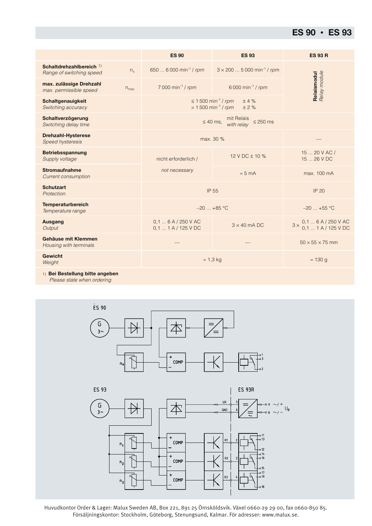## **ES 90 • ES 93**

|                                                                            | <b>ES 90</b>                                                                       | <b>ES 93</b>                                 | <b>ES 93 R</b>                                           |  |
|----------------------------------------------------------------------------|------------------------------------------------------------------------------------|----------------------------------------------|----------------------------------------------------------|--|
| Schaltdrehzahlbereich <sup>1)</sup><br>$n_{s}$<br>Range of switching speed | 650  6 000 min <sup>-1</sup> / rpm                                                 | $3 \times 200$ 5 000 min <sup>-1</sup> / rpm |                                                          |  |
| max. zulässige Drehzahl<br>$n_{\text{max}}$<br>max. permissible speed      | 7 000 min <sup>-1</sup> / rpm                                                      | 6 000 min <sup>-1</sup> / rpm                | Relaismodul<br>Relay module                              |  |
| Schaltgenauigkeit<br>Switching accuracy                                    | ≤ 1 500 min <sup>-1</sup> / rpm<br>±4%<br>$> 1500$ min <sup>-1</sup> / rpm<br>± 2% |                                              |                                                          |  |
| Schaltverzögerung<br>Switching delay time                                  | mit Relais<br>$\leq$ 250 ms<br>$\leq 40$ ms,<br>with relav                         |                                              |                                                          |  |
| <b>Drehzahl-Hysterese</b><br><b>Speed hysteresis</b>                       | max. 30 %                                                                          |                                              |                                                          |  |
| <b>Betriebsspannung</b><br>Supply voltage                                  | nicht erforderlich /                                                               | 12 V DC $\pm$ 10 %                           | 15  20 V AC /<br>15  26 V DC                             |  |
| <b>Stromaufnahme</b><br><b>Current consumption</b>                         | not necessary                                                                      | $\approx$ 5 mA                               | max. 100 mA                                              |  |
| <b>Schutzart</b><br>Protection                                             | IP 55                                                                              |                                              | <b>IP 20</b>                                             |  |
| <b>Temperaturbereich</b><br>Temperature range                              | $-20$ +85 °C                                                                       |                                              | $-20$ +55 °C                                             |  |
| <b>Ausgang</b><br>Output                                                   | 0.16A/250VAC<br>$0.1$ 1 A / 125 V DC                                               | $3 \times 40$ mA DC                          | 0,1  6 A / 250 V AC<br>0,1  1 A / 125 V DC<br>$3 \times$ |  |
| Gehäuse mit Klemmen<br>Housing with terminals                              |                                                                                    |                                              | $50 \times 55 \times 75$ mm                              |  |
| <b>Gewicht</b><br>Weight                                                   | $\approx$ 1,3 kg                                                                   |                                              | $\approx$ 130 g                                          |  |
| n. Dai Daoballinga kitta amaakan                                           |                                                                                    |                                              |                                                          |  |

1) **Bei Bestellung bitte angeben**

Please state when ordering